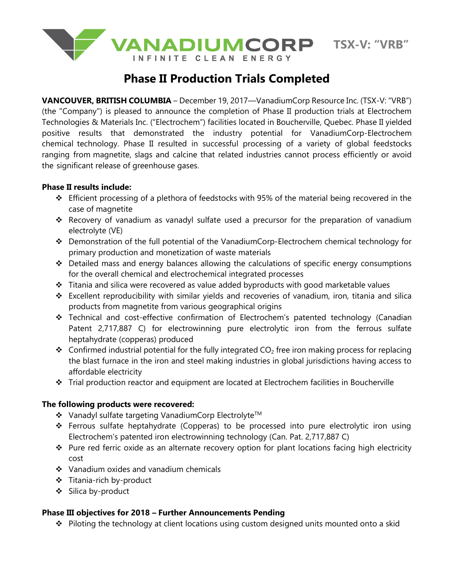

# **Phase II Production Trials Completed**

**VANCOUVER, BRITISH COLUMBIA** – December 19, 2017—VanadiumCorp Resource Inc. (TSX-V: "VRB") (the "Company") is pleased to announce the completion of Phase II production trials at Electrochem Technologies & Materials Inc. ("Electrochem") facilities located in Boucherville, Quebec. Phase II yielded positive results that demonstrated the industry potential for VanadiumCorp-Electrochem chemical technology. Phase II resulted in successful processing of a variety of global feedstocks ranging from magnetite, slags and calcine that related industries cannot process efficiently or avoid the significant release of greenhouse gases.

## **Phase II results include:**

- ❖ Efficient processing of a plethora of feedstocks with 95% of the material being recovered in the case of magnetite
- ❖ Recovery of vanadium as vanadyl sulfate used a precursor for the preparation of vanadium electrolyte (VE)
- ❖ Demonstration of the full potential of the VanadiumCorp-Electrochem chemical technology for primary production and monetization of waste materials
- ❖ Detailed mass and energy balances allowing the calculations of specific energy consumptions for the overall chemical and electrochemical integrated processes
- ❖ Titania and silica were recovered as value added byproducts with good marketable values
- ❖ Excellent reproducibility with similar yields and recoveries of vanadium, iron, titania and silica products from magnetite from various geographical origins
- ❖ Technical and cost-effective confirmation of Electrochem's patented technology (Canadian Patent 2,717,887 C) for electrowinning pure electrolytic iron from the ferrous sulfate heptahydrate (copperas) produced
- ◆ Confirmed industrial potential for the fully integrated  $CO<sub>2</sub>$  free iron making process for replacing the blast furnace in the iron and steel making industries in global jurisdictions having access to affordable electricity
- ❖ Trial production reactor and equipment are located at Electrochem facilities in Boucherville

## **The following products were recovered:**

- ❖ Vanadyl sulfate targeting VanadiumCorp ElectrolyteTM
- ❖ Ferrous sulfate heptahydrate (Copperas) to be processed into pure electrolytic iron using Electrochem's patented iron electrowinning technology (Can. Pat. 2,717,887 C)
- ❖ Pure red ferric oxide as an alternate recovery option for plant locations facing high electricity cost
- ❖ Vanadium oxides and vanadium chemicals
- ❖ Titania-rich by-product
- ❖ Silica by-product

# **Phase III objectives for 2018 – Further Announcements Pending**

❖ Piloting the technology at client locations using custom designed units mounted onto a skid